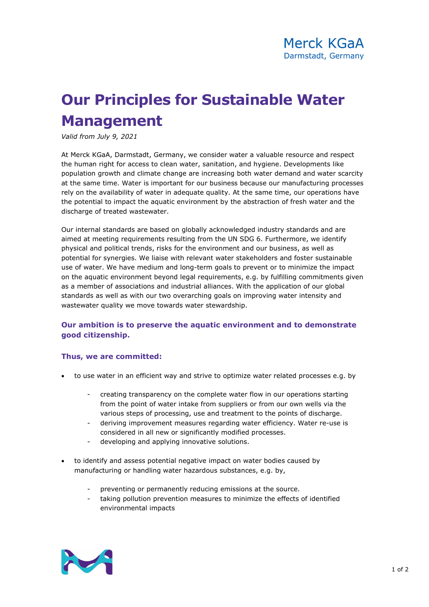## **Our Principles for Sustainable Water Management**

*Valid from July 9, 2021*

At Merck KGaA, Darmstadt, Germany, we consider water a valuable resource and respect the human right for access to clean water, sanitation, and hygiene. Developments like population growth and climate change are increasing both water demand and water scarcity at the same time. Water is important for our business because our manufacturing processes rely on the availability of water in adequate quality. At the same time, our operations have the potential to impact the aquatic environment by the abstraction of fresh water and the discharge of treated wastewater.

Our internal standards are based on globally acknowledged industry standards and are aimed at meeting requirements resulting from the UN SDG 6. Furthermore, we identify physical and political trends, risks for the environment and our business, as well as potential for synergies. We liaise with relevant water stakeholders and foster sustainable use of water. We have medium and long-term goals to prevent or to minimize the impact on the aquatic environment beyond legal requirements, e.g. by fulfilling commitments given as a member of associations and industrial alliances. With the application of our global standards as well as with our two overarching goals on improving water intensity and wastewater quality we move towards water stewardship.

## **Our ambition is to preserve the aquatic environment and to demonstrate good citizenship.**

## **Thus, we are committed:**

- to use water in an efficient way and strive to optimize water related processes e.g. by
	- creating transparency on the complete water flow in our operations starting from the point of water intake from suppliers or from our own wells via the various steps of processing, use and treatment to the points of discharge.
	- deriving improvement measures regarding water efficiency. Water re-use is considered in all new or significantly modified processes.
	- developing and applying innovative solutions.
- to identify and assess potential negative impact on water bodies caused by manufacturing or handling water hazardous substances, e.g. by,
	- preventing or permanently reducing emissions at the source.
	- taking pollution prevention measures to minimize the effects of identified environmental impacts